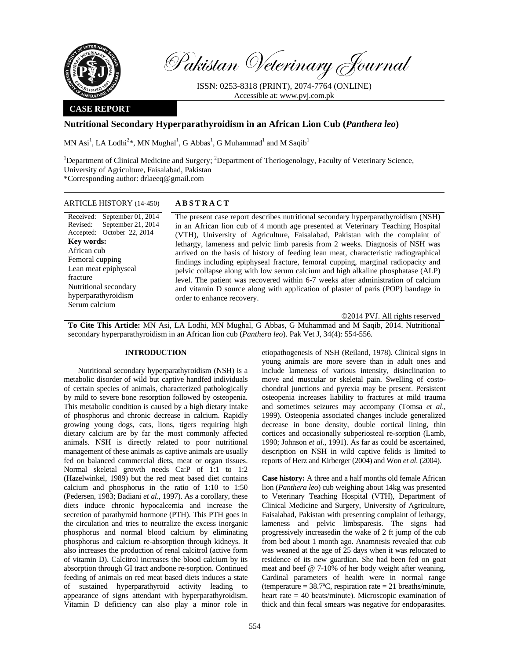

Pakistan Veterinary Journal

ISSN: 0253-8318 (PRINT), 2074-7764 (ONLINE) Accessible at: www.pvj.com.pk

#### **CASE REPORT**

# **Nutritional Secondary Hyperparathyroidism in an African Lion Cub (***Panthera leo***)**

MN Asi<sup>1</sup>, LA Lodhi<sup>2\*</sup>, MN Mughal<sup>1</sup>, G Abbas<sup>1</sup>, G Muhammad<sup>1</sup> and M Saqib<sup>1</sup>

<sup>1</sup>Department of Clinical Medicine and Surgery; <sup>2</sup>Department of Theriogenology, Faculty of Veterinary Science, University of Agriculture, Faisalabad, Pakistan \*Corresponding author: drlaeeq@gmail.com

## ARTICLE HISTORY (14-450) **ABSTRACT**

Received: September 01, 2014 Revised: Accepted: October 22, 2014 September 21, 2014 **Key words:**  African cub Femoral cupping Lean meat epiphyseal fracture Nutritional secondary hyperparathyroidism Serum calcium

 The present case report describes nutritional secondary hyperparathyroidism (NSH) in an African lion cub of 4 month age presented at Veterinary Teaching Hospital (VTH), University of Agriculture, Faisalabad, Pakistan with the complaint of lethargy, lameness and pelvic limb paresis from 2 weeks. Diagnosis of NSH was arrived on the basis of history of feeding lean meat, characteristic radiographical findings including epiphyseal fracture, femoral cupping, marginal radiopacity and pelvic collapse along with low serum calcium and high alkaline phosphatase (ALP) level. The patient was recovered within 6-7 weeks after administration of calcium and vitamin D source along with application of plaster of paris (POP) bandage in order to enhance recovery.

©2014 PVJ. All rights reserved

**To Cite This Article:** MN Asi, LA Lodhi, MN Mughal, G Abbas, G Muhammad and M Saqib, 2014. Nutritional secondary hyperparathyroidism in an African lion cub (*Panthera leo*). Pak Vet J, 34(4): 554-556.

## **INTRODUCTION**

Nutritional secondary hyperparathyroidism (NSH) is a metabolic disorder of wild but captive handfed individuals of certain species of animals, characterized pathologically by mild to severe bone resorption followed by osteopenia. This metabolic condition is caused by a high dietary intake of phosphorus and chronic decrease in calcium. Rapidly growing young dogs, cats, lions, tigers requiring high dietary calcium are by far the most commonly affected animals. NSH is directly related to poor nutritional management of these animals as captive animals are usually fed on balanced commercial diets, meat or organ tissues. Normal skeletal growth needs Ca:P of 1:1 to 1:2 (Hazelwinkel, 1989) but the red meat based diet contains calcium and phosphorus in the ratio of 1:10 to 1:50 (Pedersen, 1983; Badiani *et al*., 1997). As a corollary, these diets induce chronic hypocalcemia and increase the secretion of parathyroid hormone (PTH). This PTH goes in the circulation and tries to neutralize the excess inorganic phosphorus and normal blood calcium by eliminating phosphorus and calcium re-absorption through kidneys. It also increases the production of renal calcitrol (active form of vitamin D). Calcitrol increases the blood calcium by its absorption through GI tract andbone re-sorption. Continued feeding of animals on red meat based diets induces a state of sustained hyperparathyroid activity leading to appearance of signs attendant with hyperparathyroidism. Vitamin D deficiency can also play a minor role in

etiopathogenesis of NSH (Reiland, 1978). Clinical signs in young animals are more severe than in adult ones and include lameness of various intensity, disinclination to move and muscular or skeletal pain. Swelling of costochondral junctions and pyrexia may be present. Persistent osteopenia increases liability to fractures at mild trauma and sometimes seizures may accompany (Tomsa *et al*., 1999). Osteopenia associated changes include generalized decrease in bone density, double cortical lining, thin cortices and occasionally subperiosteal re-sorption (Lamb, 1990; Johnson *et al*., 1991). As far as could be ascertained, description on NSH in wild captive felids is limited to reports of Herz and Kirberger (2004) and Won *et al*. (2004).

**Case history:** A three and a half months old female African lion (*Panthera leo*) cub weighing about 14kg was presented to Veterinary Teaching Hospital (VTH), Department of Clinical Medicine and Surgery, University of Agriculture, Faisalabad, Pakistan with presenting complaint of lethargy, lameness and pelvic limbsparesis. The signs had progressively increasedin the wake of 2 ft jump of the cub from bed about 1 month ago. Anamnesis revealed that cub was weaned at the age of 25 days when it was relocated to residence of its new guardian. She had been fed on goat meat and beef @ 7-10% of her body weight after weaning. Cardinal parameters of health were in normal range (temperature  $= 38.7$ °C, respiration rate  $= 21$  breaths/minute, heart rate = 40 beats/minute). Microscopic examination of thick and thin fecal smears was negative for endoparasites.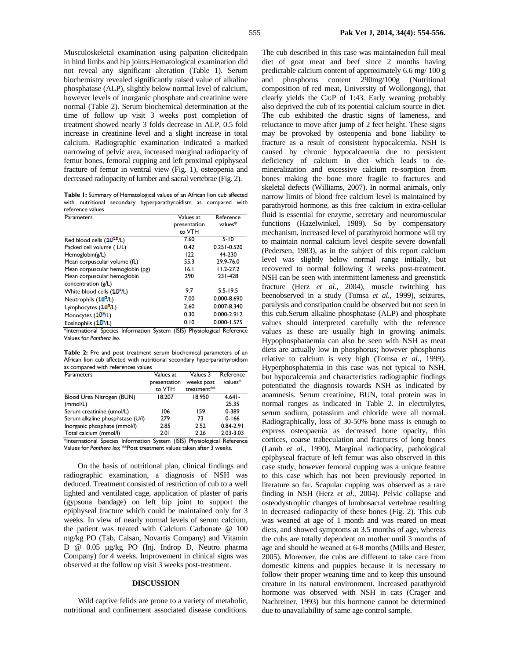Musculoskeletal examination using palpation elicitedpain in hind limbs and hip joints.Hematological examination did not reveal any significant alteration (Table 1). Serum biochemistry revealed significantly raised value of alkaline phosphatase (ALP), slightly below normal level of calcium, however levels of inorganic phosphate and creatinine were normal (Table 2). Serum biochemical determination at the time of follow up visit 3 weeks post completion of treatment showed nearly 3 folds decrease in ALP, 0.5 fold increase in creatinine level and a slight increase in total calcium. Radiographic examination indicated a marked narrowing of pelvic area, increased marginal radiopacity of femur bones, femoral cupping and left proximal epiphyseal fracture of femur in ventral view (Fig. 1), osteopenia and decreased radiopacity of lumber and sacral vertebrae (Fig. 2).

**Table 1:** Summary of Hematological values of an African lion cub affected with nutritional secondary hyperparathyroidism as compared with reference values

| Parameters                                                                                   | Values at                  | Reference                                  |  |
|----------------------------------------------------------------------------------------------|----------------------------|--------------------------------------------|--|
|                                                                                              | presentation               | values*                                    |  |
|                                                                                              | to VTH                     |                                            |  |
| Red blood cells (10 <sup>12</sup> /L)                                                        | 7.60                       | $5 - 10$                                   |  |
| Packed cell volume (L/L)                                                                     | 0.42                       | $0.251 - 0.520$                            |  |
| Hemoglobin( $g/L$ )                                                                          | 122                        | 44-230                                     |  |
| Mean corpuscular volume (fL)                                                                 | 55.3                       | 29.9-76.0                                  |  |
| Mean corpuscular hemoglobin (pg)                                                             | 16.1                       | $11.2 - 27.2$                              |  |
| Mean corpuscular hemoglobin                                                                  | 290                        | 231-428                                    |  |
| concentration (g/L)                                                                          |                            |                                            |  |
| White blood cells (10 <sup>2</sup> /L)                                                       | 9.7                        | $5.5 - 19.5$                               |  |
| Neutrophils (10 <sup>2</sup> /L)                                                             | 7.00                       | 0.000-8.690                                |  |
| Lymphocytes (10 <sup>2</sup> /L)                                                             | 2.60                       | 0.007-8.340                                |  |
| Monocytes (10 <sup>9</sup> /L)                                                               | 0.30                       | $0.000 - 2.912$                            |  |
| Eosinophils (10 <sup>9</sup> /L)<br>$\sim$<br>$\overline{\phantom{0}}$<br>$\cdot$<br>$\cdot$ | 0.10<br>$(1010)$ BL<br>. . | $0.000 - 1.575$<br>$\cdot$ $\cdot$ $\cdot$ |  |

\*International Species Information System (ISIS) Physiological Reference Values for *Panthera leo*.

**Table 2:** Pre and post treatment serum biochemical parameters of an African lion cub affected with nutritional secondary hyperparathyroidism as compared with references values

| Parameters                       | Values at<br>presentation | Values 3<br>weeks post | Reference<br>$values*$ |
|----------------------------------|---------------------------|------------------------|------------------------|
|                                  | to VTH                    | treatment**            |                        |
| Blood Urea Nitrogen (BUN)        | 18.207                    | 18.950                 | $4.641 -$              |
| (mmol/L)                         |                           |                        | 25.35                  |
| Serum creatinine (umol/L)        | 106                       | 159                    | 0-389                  |
| Serum alkaline phosphstase (U/I) | 279                       | 73                     | $0 - 166$              |
| Inorganic phosphate (mmol/l)     | 2.85                      | 2.52                   | $0.84 - 2.91$          |
| Total calcium (mmol/l)           | 2.01                      | 2.26                   | 2.03-3.03              |

\*International Species Information System (ISIS) Physiological Reference Values for *Panthera leo*; \*\*Post treatment values taken after 3 weeks.

On the basis of nutritional plan, clinical findings and radiographic examination, a diagnosis of NSH was deduced. Treatment consisted of restriction of cub to a well lighted and ventilated cage, application of plaster of paris (gypsona bandage) on left hip joint to support the epiphyseal fracture which could be maintained only for 3 weeks. In view of nearly normal levels of serum calcium, the patient was treated with Calcium Carbonate @ 100 mg/kg PO (Tab. Calsan, Novartis Company) and Vitamin D @ 0.05 µg/kg PO (Inj. Indrop D, Neutro pharma Company) for 4 weeks. Improvement in clinical signs was observed at the follow up visit 3 weeks post-treatment.

#### **DISCUSSION**

Wild captive felids are prone to a variety of metabolic, nutritional and confinement associated disease conditions. The cub described in this case was maintainedon full meal diet of goat meat and beef since 2 months having predictable calcium content of approximately 6.6 mg/ 100 g and phosphorus content 290mg/100g (Nutritional composition of red meat, University of Wollongong), that clearly yields the Ca:P of 1:43. Early weaning probably also deprived the cub of its potential calcium source in diet. The cub exhibited the drastic signs of lameness, and reluctance to move after jump of 2 feet height. These signs may be provoked by osteopenia and bone liability to fracture as a result of consistent hypocalcemia. NSH is caused by chronic hypocalcaemia due to persistent deficiency of calcium in diet which leads to demineralization and excessive calcium re-sorption from bones making the bone more fragile to fractures and skeletal defects (Williams, 2007). In normal animals, only narrow limits of blood free calcium level is maintained by parathyroid hormone, as this free calcium in extra-cellular fluid is essential for enzyme, secretary and neuromuscular functions (Hazelwinkel, 1989). So by compensatory mechanism, increased level of parathyroid hormone will try to maintain normal calcium level despite severe downfall (Pedersen, 1983), as in the subject of this report calcium level was slightly below normal range initially, but recovered to normal following 3 weeks post-treatment. NSH can be seen with intermittent lameness and greenstick fracture (Herz *et al*., 2004), muscle twitching has beenobserved in a study (Tomsa *et al.*, 1999), seizures, paralysis and constipation could be observed but not seen in this cub.Serum alkaline phosphatase (ALP) and phosphate values should interpreted carefully with the reference values as these are usually high in growing animals. Hypophosphataemia can also be seen with NSH as meat diets are actually low in phosphorus; however phosphorus relative to calcium is very high (Tomsa *et al*., 1999). Hyperphosphatemia in this case was not typical to NSH, but hypocalcemia and characteristics radiographic findings potentiated the diagnosis towards NSH as indicated by anamnesis. Serum creatinine, BUN, total protein was in normal ranges as indicated in Table 2. In electrolytes, serum sodium, potassium and chloride were all normal. Radiographically, loss of 30-50% bone mass is enough to express osteopaenia as decreased bone opacity, thin cortices, coarse trabeculation and fractures of long bones (Lamb *et al*., 1990). Marginal radiopacity, pathological epiphyseal fracture of left femur was also observed in this case study, however femoral cupping was a unique feature to this case which has not been previously reported in literature so far. Scapular cupping was observed as a rare finding in NSH (Herz *et al*., 2004). Pelvic collapse and osteodystrophic changes of lumbosacral vertebrae resulting in decreased radiopacity of these bones (Fig. 2). This cub was weaned at age of 1 month and was reared on meat diets, and showed symptoms at 3.5 months of age, whereas the cubs are totally dependent on mother until 3 months of age and should be weaned at 6-8 months (Mills and Bester, 2005). Moreover, the cubs are different to take care from domestic kittens and puppies because it is necessary to follow their proper weaning time and to keep this unsound creature in its natural environment. Increased parathyroid hormone was observed with NSH in cats (Crager and Nachreiner, 1993) but this hormone cannot be determined due to unavailability of same age control sample.